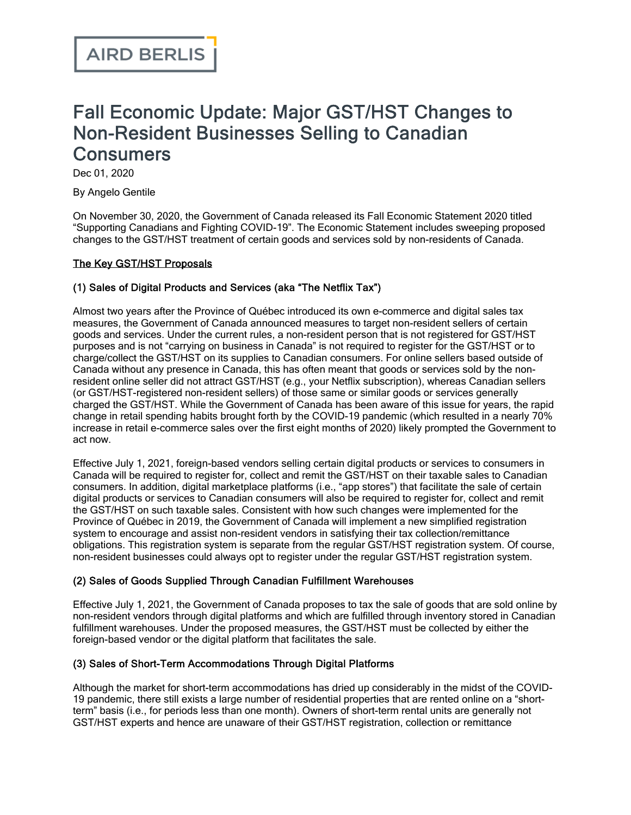# Fall Economic Update: Major GST/HST Changes to Non-Resident Businesses Selling to Canadian **Consumers**

Dec 01, 2020

By Angelo Gentile

On November 30, 2020, the Government of Canada released its Fall Economic Statement 2020 titled "Supporting Canadians and Fighting COVID-19". The Economic Statement includes sweeping proposed changes to the GST/HST treatment of certain goods and services sold by non-residents of Canada.

# The Key GST/HST Proposals

# (1) Sales of Digital Products and Services (aka "The Netflix Tax")

Almost two years after the Province of Québec introduced its own e-commerce and digital sales tax measures, the Government of Canada announced measures to target non-resident sellers of certain goods and services. Under the current rules, a non-resident person that is not registered for GST/HST purposes and is not "carrying on business in Canada" is not required to register for the GST/HST or to charge/collect the GST/HST on its supplies to Canadian consumers. For online sellers based outside of Canada without any presence in Canada, this has often meant that goods or services sold by the nonresident online seller did not attract GST/HST (e.g., your Netflix subscription), whereas Canadian sellers (or GST/HST-registered non-resident sellers) of those same or similar goods or services generally charged the GST/HST. While the Government of Canada has been aware of this issue for years, the rapid change in retail spending habits brought forth by the COVID-19 pandemic (which resulted in a nearly 70% increase in retail e-commerce sales over the first eight months of 2020) likely prompted the Government to act now.

Effective July 1, 2021, foreign-based vendors selling certain digital products or services to consumers in Canada will be required to register for, collect and remit the GST/HST on their taxable sales to Canadian consumers. In addition, digital marketplace platforms (i.e., "app stores") that facilitate the sale of certain digital products or services to Canadian consumers will also be required to register for, collect and remit the GST/HST on such taxable sales. Consistent with how such changes were implemented for the Province of Québec in 2019, the Government of Canada will implement a new simplified registration system to encourage and assist non-resident vendors in satisfying their tax collection/remittance obligations. This registration system is separate from the regular GST/HST registration system. Of course, non-resident businesses could always opt to register under the regular GST/HST registration system.

# (2) Sales of Goods Supplied Through Canadian Fulfillment Warehouses

Effective July 1, 2021, the Government of Canada proposes to tax the sale of goods that are sold online by non-resident vendors through digital platforms and which are fulfilled through inventory stored in Canadian fulfillment warehouses. Under the proposed measures, the GST/HST must be collected by either the foreign-based vendor or the digital platform that facilitates the sale.

# (3) Sales of Short-Term Accommodations Through Digital Platforms

Although the market for short-term accommodations has dried up considerably in the midst of the COVID-19 pandemic, there still exists a large number of residential properties that are rented online on a "shortterm" basis (i.e., for periods less than one month). Owners of short-term rental units are generally not GST/HST experts and hence are unaware of their GST/HST registration, collection or remittance